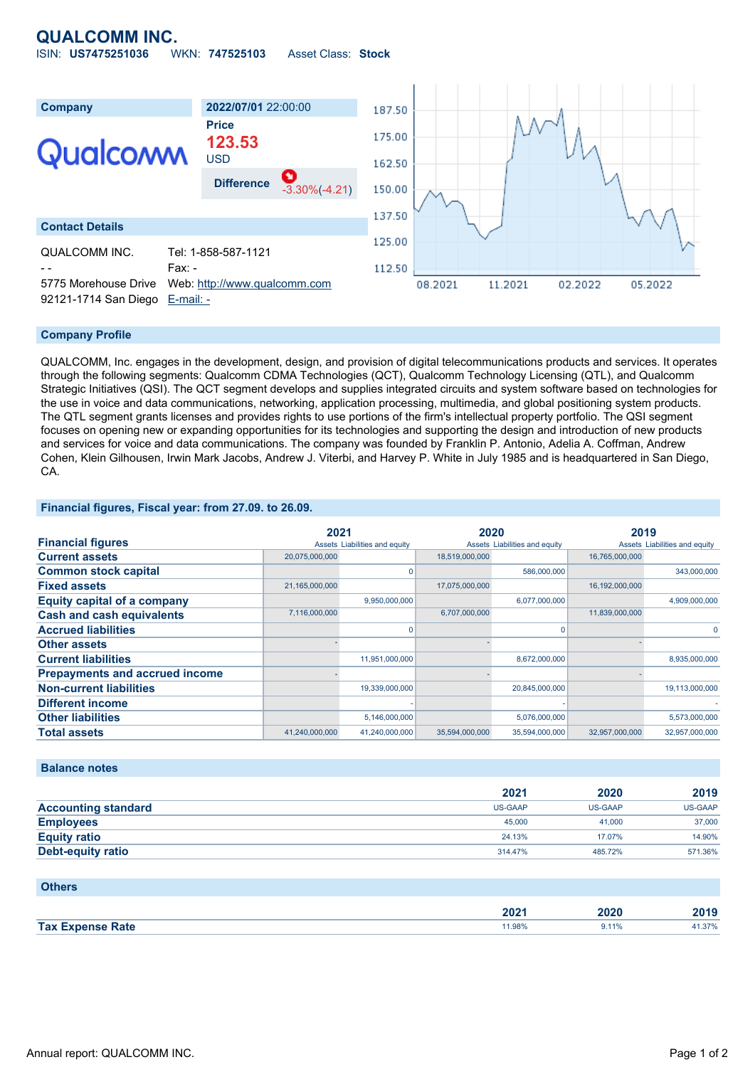# **QUALCOMM INC.**

|  | ISIN: US7475251036 | WKN: 747525103 | Asset Class: Stock |  |
|--|--------------------|----------------|--------------------|--|
|--|--------------------|----------------|--------------------|--|



#### **Company Profile**

QUALCOMM, Inc. engages in the development, design, and provision of digital telecommunications products and services. It operates through the following segments: Qualcomm CDMA Technologies (QCT), Qualcomm Technology Licensing (QTL), and Qualcomm Strategic Initiatives (QSI). The QCT segment develops and supplies integrated circuits and system software based on technologies for the use in voice and data communications, networking, application processing, multimedia, and global positioning system products. The QTL segment grants licenses and provides rights to use portions of the firm's intellectual property portfolio. The QSI segment focuses on opening new or expanding opportunities for its technologies and supporting the design and introduction of new products and services for voice and data communications. The company was founded by Franklin P. Antonio, Adelia A. Coffman, Andrew Cohen, Klein Gilhousen, Irwin Mark Jacobs, Andrew J. Viterbi, and Harvey P. White in July 1985 and is headquartered in San Diego, CA.

#### **Financial figures, Fiscal year: from 27.09. to 26.09.**

|                                       | 2021           |                               | 2020           |                               | 2019           |                               |
|---------------------------------------|----------------|-------------------------------|----------------|-------------------------------|----------------|-------------------------------|
| <b>Financial figures</b>              |                | Assets Liabilities and equity |                | Assets Liabilities and equity |                | Assets Liabilities and equity |
| <b>Current assets</b>                 | 20,075,000,000 |                               | 18,519,000,000 |                               | 16,765,000,000 |                               |
| <b>Common stock capital</b>           |                |                               |                | 586,000,000                   |                | 343,000,000                   |
| <b>Fixed assets</b>                   | 21,165,000,000 |                               | 17,075,000,000 |                               | 16,192,000,000 |                               |
| <b>Equity capital of a company</b>    |                | 9,950,000,000                 |                | 6,077,000,000                 |                | 4,909,000,000                 |
| <b>Cash and cash equivalents</b>      | 7,116,000,000  |                               | 6,707,000,000  |                               | 11,839,000,000 |                               |
| <b>Accrued liabilities</b>            |                |                               |                |                               |                |                               |
| <b>Other assets</b>                   |                |                               |                |                               |                |                               |
| <b>Current liabilities</b>            |                | 11,951,000,000                |                | 8,672,000,000                 |                | 8,935,000,000                 |
| <b>Prepayments and accrued income</b> |                |                               |                |                               |                |                               |
| <b>Non-current liabilities</b>        |                | 19,339,000,000                |                | 20,845,000,000                |                | 19,113,000,000                |
| <b>Different income</b>               |                |                               |                |                               |                |                               |
| <b>Other liabilities</b>              |                | 5,146,000,000                 |                | 5,076,000,000                 |                | 5,573,000,000                 |
| <b>Total assets</b>                   | 41,240,000,000 | 41,240,000,000                | 35,594,000,000 | 35,594,000,000                | 32,957,000,000 | 32,957,000,000                |

### **Balance notes**

|                            | 2021           | 2020           | 2019    |
|----------------------------|----------------|----------------|---------|
| <b>Accounting standard</b> | <b>US-GAAP</b> | <b>US-GAAP</b> | US-GAAP |
| <b>Employees</b>           | 45,000         | 41.000         | 37,000  |
| <b>Equity ratio</b>        | 24.13%         | 17.07%         | 14.90%  |
| Debt-equity ratio          | 314,47%        | 485.72%        | 571.36% |

#### **Others**

|                       | 2021   | הרחו<br>w<br>. | 2019   |
|-----------------------|--------|----------------|--------|
| Tax E.<br>ਾਂ≏ Rate ਵਿ | 11.98% | 9.11%          | +1.37% |